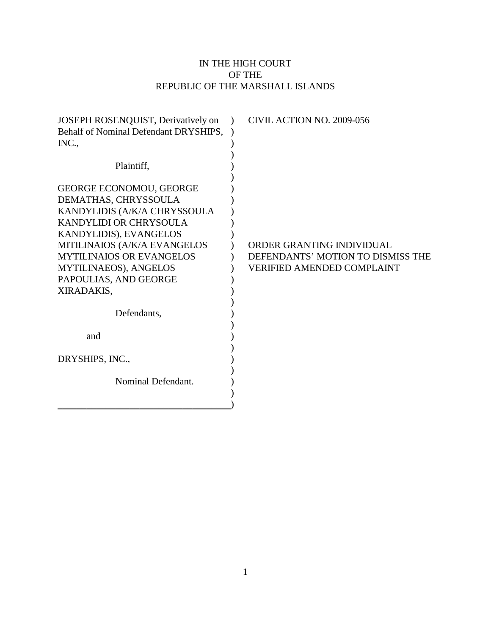# IN THE HIGH COURT OF THE REPUBLIC OF THE MARSHALL ISLANDS

| Behalf of Nominal Defendant DRYSHIPS,<br>INC.,<br>Plaintiff, |                                   |
|--------------------------------------------------------------|-----------------------------------|
|                                                              |                                   |
|                                                              |                                   |
|                                                              |                                   |
|                                                              |                                   |
|                                                              |                                   |
| <b>GEORGE ECONOMOU, GEORGE</b>                               |                                   |
| DEMATHAS, CHRYSSOULA                                         |                                   |
| KANDYLIDIS (A/K/A CHRYSSOULA                                 |                                   |
| KANDYLIDI OR CHRYSOULA                                       |                                   |
| KANDYLIDIS), EVANGELOS                                       |                                   |
| MITILINAIOS (A/K/A EVANGELOS                                 | ORDER GRANTING INDIVIDUAL         |
| <b>MYTILINAIOS OR EVANGELOS</b>                              | DEFENDANTS' MOTION TO DISMISS THE |
| MYTILINAEOS), ANGELOS                                        | <b>VERIFIED AMENDED COMPLAINT</b> |
| PAPOULIAS, AND GEORGE                                        |                                   |
| XIRADAKIS,                                                   |                                   |
|                                                              |                                   |
| Defendants,                                                  |                                   |
|                                                              |                                   |
| and                                                          |                                   |
|                                                              |                                   |
| DRYSHIPS, INC.,                                              |                                   |
|                                                              |                                   |
| Nominal Defendant.                                           |                                   |
|                                                              |                                   |
|                                                              |                                   |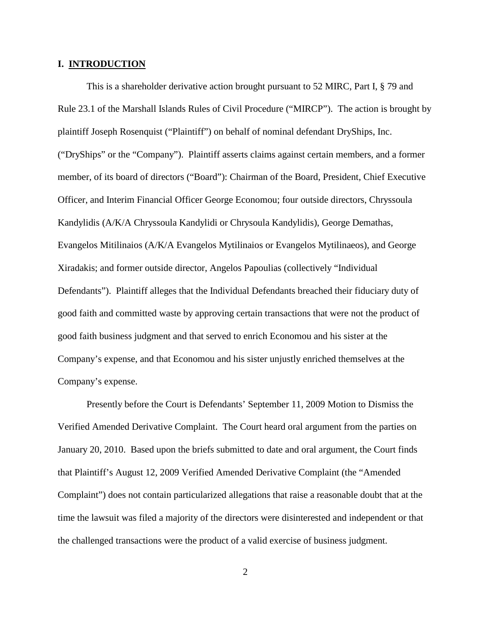#### **I. INTRODUCTION**

This is a shareholder derivative action brought pursuant to 52 MIRC, Part I, § 79 and Rule 23.1 of the Marshall Islands Rules of Civil Procedure ("MIRCP"). The action is brought by plaintiff Joseph Rosenquist ("Plaintiff") on behalf of nominal defendant DryShips, Inc. ("DryShips" or the "Company"). Plaintiff asserts claims against certain members, and a former member, of its board of directors ("Board"): Chairman of the Board, President, Chief Executive Officer, and Interim Financial Officer George Economou; four outside directors, Chryssoula Kandylidis (A/K/A Chryssoula Kandylidi or Chrysoula Kandylidis), George Demathas, Evangelos Mitilinaios (A/K/A Evangelos Mytilinaios or Evangelos Mytilinaeos), and George Xiradakis; and former outside director, Angelos Papoulias (collectively "Individual Defendants"). Plaintiff alleges that the Individual Defendants breached their fiduciary duty of good faith and committed waste by approving certain transactions that were not the product of good faith business judgment and that served to enrich Economou and his sister at the Company's expense, and that Economou and his sister unjustly enriched themselves at the Company's expense.

Presently before the Court is Defendants' September 11, 2009 Motion to Dismiss the Verified Amended Derivative Complaint. The Court heard oral argument from the parties on January 20, 2010. Based upon the briefs submitted to date and oral argument, the Court finds that Plaintiff's August 12, 2009 Verified Amended Derivative Complaint (the "Amended Complaint") does not contain particularized allegations that raise a reasonable doubt that at the time the lawsuit was filed a majority of the directors were disinterested and independent or that the challenged transactions were the product of a valid exercise of business judgment.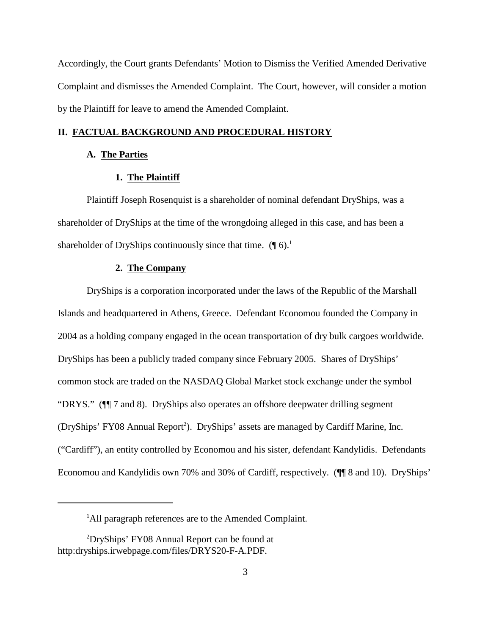Accordingly, the Court grants Defendants' Motion to Dismiss the Verified Amended Derivative Complaint and dismisses the Amended Complaint. The Court, however, will consider a motion by the Plaintiff for leave to amend the Amended Complaint.

## **II. FACTUAL BACKGROUND AND PROCEDURAL HISTORY**

## **A. The Parties**

## **1. The Plaintiff**

Plaintiff Joseph Rosenquist is a shareholder of nominal defendant DryShips, was a shareholder of DryShips at the time of the wrongdoing alleged in this case, and has been a shareholder of DryShips continuously since that time.  $(\P 6)^1$ .

#### **2. The Company**

DryShips is a corporation incorporated under the laws of the Republic of the Marshall Islands and headquartered in Athens, Greece. Defendant Economou founded the Company in 2004 as a holding company engaged in the ocean transportation of dry bulk cargoes worldwide. DryShips has been a publicly traded company since February 2005. Shares of DryShips' common stock are traded on the NASDAQ Global Market stock exchange under the symbol "DRYS." (¶¶ 7 and 8). DryShips also operates an offshore deepwater drilling segment (DryShips' FY08 Annual Report<sup>2</sup>). DryShips' assets are managed by Cardiff Marine, Inc. ("Cardiff"), an entity controlled by Economou and his sister, defendant Kandylidis. Defendants Economou and Kandylidis own 70% and 30% of Cardiff, respectively. (¶¶ 8 and 10). DryShips'

<sup>&</sup>lt;sup>1</sup>All paragraph references are to the Amended Complaint.

 $^{2}$ DryShips' FY08 Annual Report can be found at http:dryships.irwebpage.com/files/DRYS20-F-A.PDF.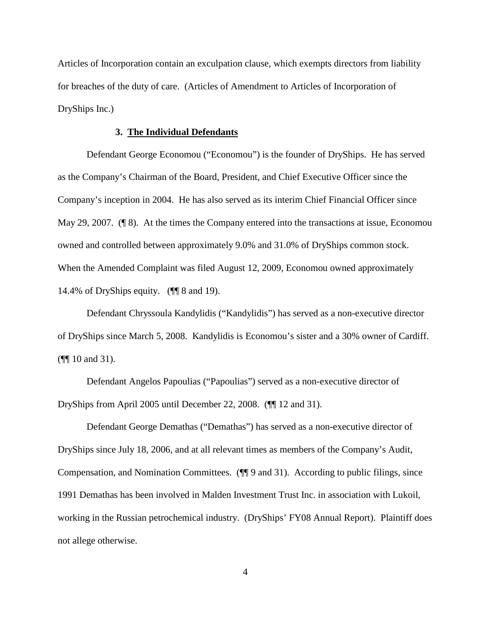Articles of Incorporation contain an exculpation clause, which exempts directors from liability for breaches of the duty of care. (Articles of Amendment to Articles of Incorporation of DryShips Inc.)

## **3. The Individual Defendants**

Defendant George Economou ("Economou") is the founder of DryShips. He has served as the Company's Chairman of the Board, President, and Chief Executive Officer since the Company's inception in 2004. He has also served as its interim Chief Financial Officer since May 29, 2007. (¶ 8). At the times the Company entered into the transactions at issue, Economou owned and controlled between approximately 9.0% and 31.0% of DryShips common stock. When the Amended Complaint was filed August 12, 2009, Economou owned approximately 14.4% of DryShips equity. (¶¶ 8 and 19).

Defendant Chryssoula Kandylidis ("Kandylidis") has served as a non-executive director of DryShips since March 5, 2008. Kandylidis is Economou's sister and a 30% owner of Cardiff. (¶¶ 10 and 31).

Defendant Angelos Papoulias ("Papoulias") served as a non-executive director of DryShips from April 2005 until December 22, 2008. (¶¶ 12 and 31).

Defendant George Demathas ("Demathas") has served as a non-executive director of DryShips since July 18, 2006, and at all relevant times as members of the Company's Audit, Compensation, and Nomination Committees. (¶¶ 9 and 31). According to public filings, since 1991 Demathas has been involved in Malden Investment Trust Inc. in association with Lukoil, working in the Russian petrochemical industry. (DryShips' FY08 Annual Report). Plaintiff does not allege otherwise.

4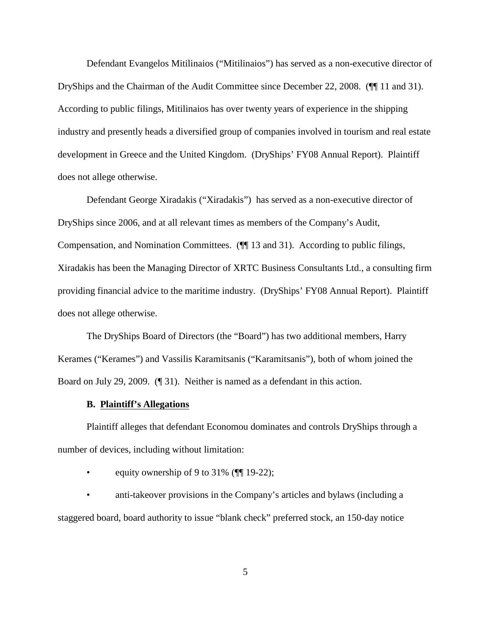Defendant Evangelos Mitilinaios ("Mitilinaios") has served as a non-executive director of DryShips and the Chairman of the Audit Committee since December 22, 2008. (¶¶ 11 and 31). According to public filings, Mitilinaios has over twenty years of experience in the shipping industry and presently heads a diversified group of companies involved in tourism and real estate development in Greece and the United Kingdom. (DryShips' FY08 Annual Report). Plaintiff does not allege otherwise.

Defendant George Xiradakis ("Xiradakis") has served as a non-executive director of DryShips since 2006, and at all relevant times as members of the Company's Audit, Compensation, and Nomination Committees. (¶¶ 13 and 31). According to public filings, Xiradakis has been the Managing Director of XRTC Business Consultants Ltd., a consulting firm providing financial advice to the maritime industry. (DryShips' FY08 Annual Report). Plaintiff does not allege otherwise.

The DryShips Board of Directors (the "Board") has two additional members, Harry Kerames ("Kerames") and Vassilis Karamitsanis ("Karamitsanis"), both of whom joined the Board on July 29, 2009. (¶ 31). Neither is named as a defendant in this action.

#### **B. Plaintiff's Allegations**

Plaintiff alleges that defendant Economou dominates and controls DryShips through a number of devices, including without limitation:

• equity ownership of 9 to 31% ( $\P$ [19-22);

• anti-takeover provisions in the Company's articles and bylaws (including a staggered board, board authority to issue "blank check" preferred stock, an 150-day notice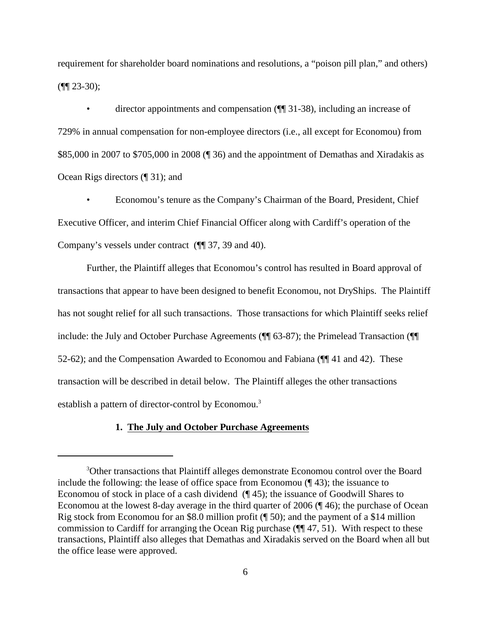requirement for shareholder board nominations and resolutions, a "poison pill plan," and others)  $(\P\P 23-30);$ 

• director appointments and compensation ( $\P$  31-38), including an increase of 729% in annual compensation for non-employee directors (i.e., all except for Economou) from \$85,000 in 2007 to \$705,000 in 2008 (¶ 36) and the appointment of Demathas and Xiradakis as Ocean Rigs directors (¶ 31); and

• Economou's tenure as the Company's Chairman of the Board, President, Chief Executive Officer, and interim Chief Financial Officer along with Cardiff's operation of the Company's vessels under contract (¶¶ 37, 39 and 40).

Further, the Plaintiff alleges that Economou's control has resulted in Board approval of transactions that appear to have been designed to benefit Economou, not DryShips. The Plaintiff has not sought relief for all such transactions. Those transactions for which Plaintiff seeks relief include: the July and October Purchase Agreements (¶¶ 63-87); the Primelead Transaction (¶¶ 52-62); and the Compensation Awarded to Economou and Fabiana (¶¶ 41 and 42). These transaction will be described in detail below. The Plaintiff alleges the other transactions establish a pattern of director-control by Economou.<sup>3</sup>

## **1. The July and October Purchase Agreements**

<sup>&</sup>lt;sup>3</sup>Other transactions that Plaintiff alleges demonstrate Economou control over the Board include the following: the lease of office space from Economou (¶ 43); the issuance to Economou of stock in place of a cash dividend (¶ 45); the issuance of Goodwill Shares to Economou at the lowest 8-day average in the third quarter of 2006 (¶ 46); the purchase of Ocean Rig stock from Economou for an \$8.0 million profit (¶ 50); and the payment of a \$14 million commission to Cardiff for arranging the Ocean Rig purchase (¶¶ 47, 51). With respect to these transactions, Plaintiff also alleges that Demathas and Xiradakis served on the Board when all but the office lease were approved.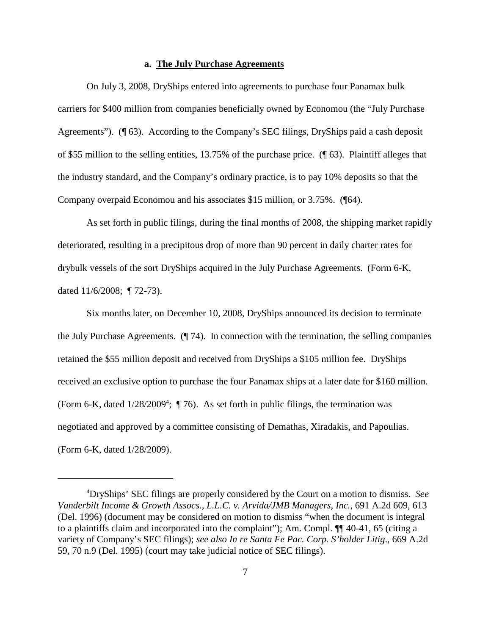## **a. The July Purchase Agreements**

On July 3, 2008, DryShips entered into agreements to purchase four Panamax bulk carriers for \$400 million from companies beneficially owned by Economou (the "July Purchase Agreements"). (¶ 63). According to the Company's SEC filings, DryShips paid a cash deposit of \$55 million to the selling entities, 13.75% of the purchase price. (¶ 63). Plaintiff alleges that the industry standard, and the Company's ordinary practice, is to pay 10% deposits so that the Company overpaid Economou and his associates \$15 million, or 3.75%. (¶64).

As set forth in public filings, during the final months of 2008, the shipping market rapidly deteriorated, resulting in a precipitous drop of more than 90 percent in daily charter rates for drybulk vessels of the sort DryShips acquired in the July Purchase Agreements. (Form 6-K, dated 11/6/2008; ¶ 72-73).

Six months later, on December 10, 2008, DryShips announced its decision to terminate the July Purchase Agreements. (¶ 74). In connection with the termination, the selling companies retained the \$55 million deposit and received from DryShips a \$105 million fee. DryShips received an exclusive option to purchase the four Panamax ships at a later date for \$160 million. (Form 6-K, dated  $1/28/2009^4$ ; ( $\overline{176}$ ). As set forth in public filings, the termination was negotiated and approved by a committee consisting of Demathas, Xiradakis, and Papoulias. (Form 6-K, dated 1/28/2009).

DryShips' SEC filings are properly considered by the Court on a motion to dismiss. *See* <sup>4</sup> *Vanderbilt Income & Growth Assocs., L.L.C. v. Arvida/JMB Managers, Inc.*, 691 A.2d 609, 613 (Del. 1996) (document may be considered on motion to dismiss "when the document is integral to a plaintiffs claim and incorporated into the complaint"); Am. Compl. ¶¶ 40-41, 65 (citing a variety of Company's SEC filings); *see also In re Santa Fe Pac. Corp. S'holder Litig*., 669 A.2d 59, 70 n.9 (Del. 1995) (court may take judicial notice of SEC filings).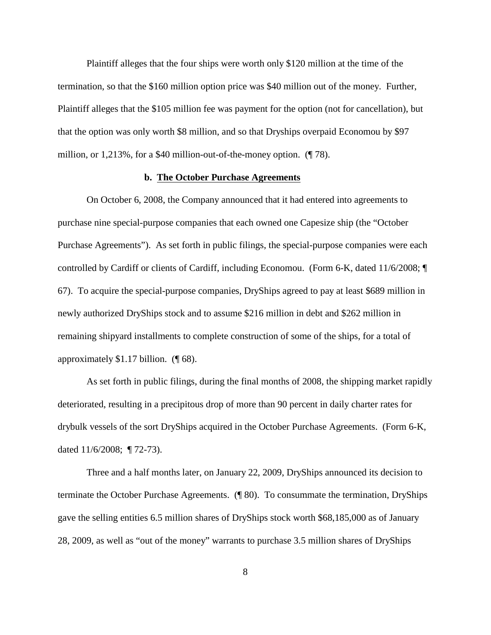Plaintiff alleges that the four ships were worth only \$120 million at the time of the termination, so that the \$160 million option price was \$40 million out of the money. Further, Plaintiff alleges that the \$105 million fee was payment for the option (not for cancellation), but that the option was only worth \$8 million, and so that Dryships overpaid Economou by \$97 million, or 1,213%, for a \$40 million-out-of-the-money option. (¶ 78).

### **b. The October Purchase Agreements**

On October 6, 2008, the Company announced that it had entered into agreements to purchase nine special-purpose companies that each owned one Capesize ship (the "October Purchase Agreements"). As set forth in public filings, the special-purpose companies were each controlled by Cardiff or clients of Cardiff, including Economou. (Form 6-K, dated 11/6/2008; ¶ 67). To acquire the special-purpose companies, DryShips agreed to pay at least \$689 million in newly authorized DryShips stock and to assume \$216 million in debt and \$262 million in remaining shipyard installments to complete construction of some of the ships, for a total of approximately \$1.17 billion. (¶ 68).

As set forth in public filings, during the final months of 2008, the shipping market rapidly deteriorated, resulting in a precipitous drop of more than 90 percent in daily charter rates for drybulk vessels of the sort DryShips acquired in the October Purchase Agreements. (Form 6-K, dated 11/6/2008; ¶ 72-73).

Three and a half months later, on January 22, 2009, DryShips announced its decision to terminate the October Purchase Agreements. (¶ 80). To consummate the termination, DryShips gave the selling entities 6.5 million shares of DryShips stock worth \$68,185,000 as of January 28, 2009, as well as "out of the money" warrants to purchase 3.5 million shares of DryShips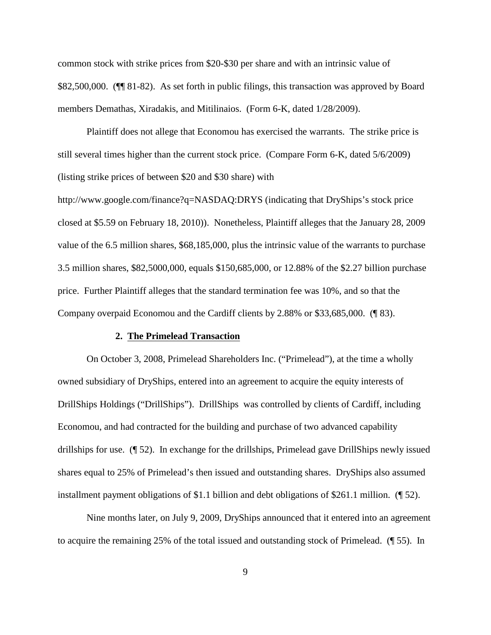common stock with strike prices from \$20-\$30 per share and with an intrinsic value of \$82,500,000. (¶¶ 81-82). As set forth in public filings, this transaction was approved by Board members Demathas, Xiradakis, and Mitilinaios. (Form 6-K, dated 1/28/2009).

Plaintiff does not allege that Economou has exercised the warrants. The strike price is still several times higher than the current stock price. (Compare Form 6-K, dated 5/6/2009) (listing strike prices of between \$20 and \$30 share) with

http://www.google.com/finance?q=NASDAQ:DRYS (indicating that DryShips's stock price closed at \$5.59 on February 18, 2010)). Nonetheless, Plaintiff alleges that the January 28, 2009 value of the 6.5 million shares, \$68,185,000, plus the intrinsic value of the warrants to purchase 3.5 million shares, \$82,5000,000, equals \$150,685,000, or 12.88% of the \$2.27 billion purchase price. Further Plaintiff alleges that the standard termination fee was 10%, and so that the Company overpaid Economou and the Cardiff clients by 2.88% or \$33,685,000. (¶ 83).

#### **2. The Primelead Transaction**

On October 3, 2008, Primelead Shareholders Inc. ("Primelead"), at the time a wholly owned subsidiary of DryShips, entered into an agreement to acquire the equity interests of DrillShips Holdings ("DrillShips"). DrillShips was controlled by clients of Cardiff, including Economou, and had contracted for the building and purchase of two advanced capability drillships for use. (¶ 52). In exchange for the drillships, Primelead gave DrillShips newly issued shares equal to 25% of Primelead's then issued and outstanding shares. DryShips also assumed installment payment obligations of \$1.1 billion and debt obligations of \$261.1 million. (¶ 52).

Nine months later, on July 9, 2009, DryShips announced that it entered into an agreement to acquire the remaining 25% of the total issued and outstanding stock of Primelead. (¶ 55). In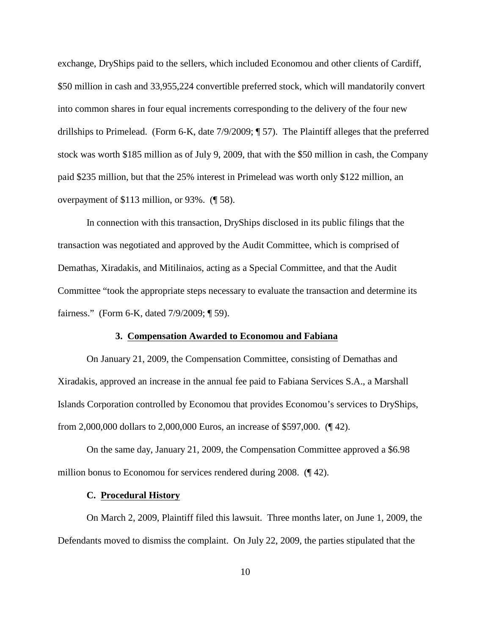exchange, DryShips paid to the sellers, which included Economou and other clients of Cardiff, \$50 million in cash and 33,955,224 convertible preferred stock, which will mandatorily convert into common shares in four equal increments corresponding to the delivery of the four new drillships to Primelead. (Form 6-K, date 7/9/2009; ¶ 57). The Plaintiff alleges that the preferred stock was worth \$185 million as of July 9, 2009, that with the \$50 million in cash, the Company paid \$235 million, but that the 25% interest in Primelead was worth only \$122 million, an overpayment of \$113 million, or 93%. (¶ 58).

In connection with this transaction, DryShips disclosed in its public filings that the transaction was negotiated and approved by the Audit Committee, which is comprised of Demathas, Xiradakis, and Mitilinaios, acting as a Special Committee, and that the Audit Committee "took the appropriate steps necessary to evaluate the transaction and determine its fairness." (Form 6-K, dated 7/9/2009; ¶ 59).

#### **3. Compensation Awarded to Economou and Fabiana**

On January 21, 2009, the Compensation Committee, consisting of Demathas and Xiradakis, approved an increase in the annual fee paid to Fabiana Services S.A., a Marshall Islands Corporation controlled by Economou that provides Economou's services to DryShips, from 2,000,000 dollars to 2,000,000 Euros, an increase of \$597,000. (¶ 42).

On the same day, January 21, 2009, the Compensation Committee approved a \$6.98 million bonus to Economou for services rendered during 2008. (142).

## **C. Procedural History**

On March 2, 2009, Plaintiff filed this lawsuit. Three months later, on June 1, 2009, the Defendants moved to dismiss the complaint. On July 22, 2009, the parties stipulated that the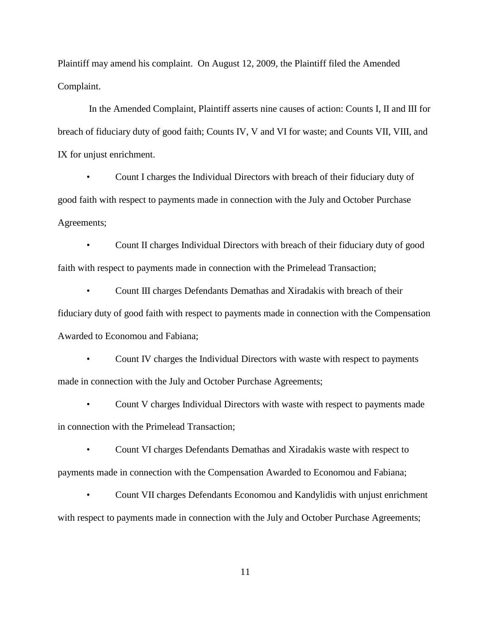Plaintiff may amend his complaint. On August 12, 2009, the Plaintiff filed the Amended Complaint.

 In the Amended Complaint, Plaintiff asserts nine causes of action: Counts I, II and III for breach of fiduciary duty of good faith; Counts IV, V and VI for waste; and Counts VII, VIII, and IX for unjust enrichment.

• Count I charges the Individual Directors with breach of their fiduciary duty of good faith with respect to payments made in connection with the July and October Purchase Agreements;

• Count II charges Individual Directors with breach of their fiduciary duty of good faith with respect to payments made in connection with the Primelead Transaction;

• Count III charges Defendants Demathas and Xiradakis with breach of their fiduciary duty of good faith with respect to payments made in connection with the Compensation Awarded to Economou and Fabiana;

• Count IV charges the Individual Directors with waste with respect to payments made in connection with the July and October Purchase Agreements;

• Count V charges Individual Directors with waste with respect to payments made in connection with the Primelead Transaction;

• Count VI charges Defendants Demathas and Xiradakis waste with respect to payments made in connection with the Compensation Awarded to Economou and Fabiana;

• Count VII charges Defendants Economou and Kandylidis with unjust enrichment with respect to payments made in connection with the July and October Purchase Agreements;

11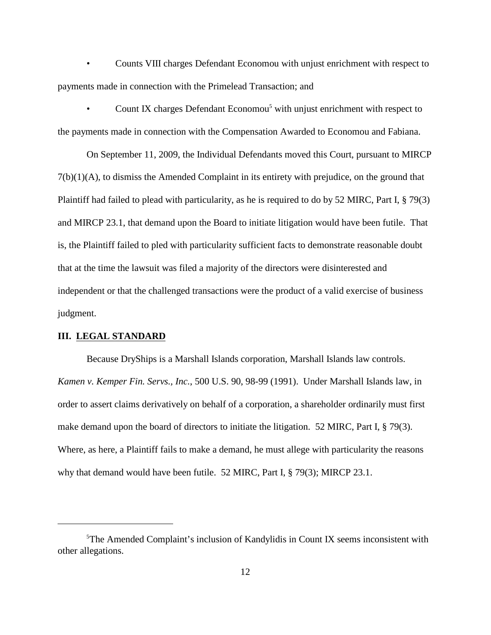• Counts VIII charges Defendant Economou with unjust enrichment with respect to payments made in connection with the Primelead Transaction; and

Count IX charges Defendant Economou<sup>5</sup> with unjust enrichment with respect to the payments made in connection with the Compensation Awarded to Economou and Fabiana.

On September 11, 2009, the Individual Defendants moved this Court, pursuant to MIRCP  $7(b)(1)(A)$ , to dismiss the Amended Complaint in its entirety with prejudice, on the ground that Plaintiff had failed to plead with particularity, as he is required to do by 52 MIRC, Part I, § 79(3) and MIRCP 23.1, that demand upon the Board to initiate litigation would have been futile. That is, the Plaintiff failed to pled with particularity sufficient facts to demonstrate reasonable doubt that at the time the lawsuit was filed a majority of the directors were disinterested and independent or that the challenged transactions were the product of a valid exercise of business judgment.

## **III. LEGAL STANDARD**

Because DryShips is a Marshall Islands corporation, Marshall Islands law controls. *Kamen v. Kemper Fin. Servs., Inc.*, 500 U.S. 90, 98-99 (1991). Under Marshall Islands law, in order to assert claims derivatively on behalf of a corporation, a shareholder ordinarily must first make demand upon the board of directors to initiate the litigation. 52 MIRC, Part I, § 79(3). Where, as here, a Plaintiff fails to make a demand, he must allege with particularity the reasons why that demand would have been futile. 52 MIRC, Part I, § 79(3); MIRCP 23.1.

 $5$ The Amended Complaint's inclusion of Kandylidis in Count IX seems inconsistent with other allegations.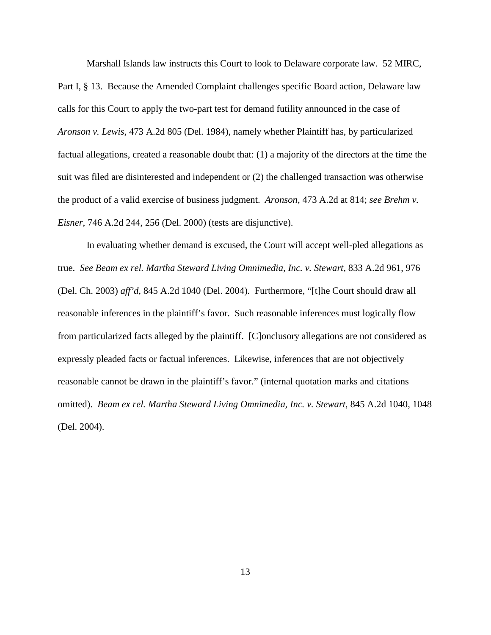Marshall Islands law instructs this Court to look to Delaware corporate law. 52 MIRC, Part I, § 13. Because the Amended Complaint challenges specific Board action, Delaware law calls for this Court to apply the two-part test for demand futility announced in the case of *Aronson v. Lewis*, 473 A.2d 805 (Del. 1984), namely whether Plaintiff has, by particularized factual allegations, created a reasonable doubt that: (1) a majority of the directors at the time the suit was filed are disinterested and independent or (2) the challenged transaction was otherwise the product of a valid exercise of business judgment. *Aronson*, 473 A.2d at 814; *see Brehm v. Eisner*, 746 A.2d 244, 256 (Del. 2000) (tests are disjunctive).

In evaluating whether demand is excused, the Court will accept well-pled allegations as true. *See Beam ex rel. Martha Steward Living Omnimedia, Inc. v. Stewart*, 833 A.2d 961, 976 (Del. Ch. 2003) *aff'd*, 845 A.2d 1040 (Del. 2004). Furthermore, "[t]he Court should draw all reasonable inferences in the plaintiff's favor. Such reasonable inferences must logically flow from particularized facts alleged by the plaintiff. [C]onclusory allegations are not considered as expressly pleaded facts or factual inferences. Likewise, inferences that are not objectively reasonable cannot be drawn in the plaintiff's favor." (internal quotation marks and citations omitted). *Beam ex rel. Martha Steward Living Omnimedia, Inc. v. Stewart*, 845 A.2d 1040, 1048 (Del. 2004).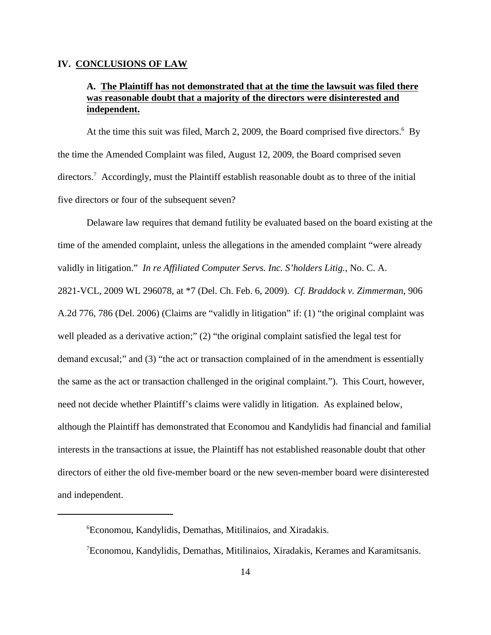#### **IV. CONCLUSIONS OF LAW**

# **A. The Plaintiff has not demonstrated that at the time the lawsuit was filed there was reasonable doubt that a majority of the directors were disinterested and independent.**

At the time this suit was filed, March 2, 2009, the Board comprised five directors.<sup>6</sup> By the time the Amended Complaint was filed, August 12, 2009, the Board comprised seven directors.<sup>7</sup> Accordingly, must the Plaintiff establish reasonable doubt as to three of the initial five directors or four of the subsequent seven?

Delaware law requires that demand futility be evaluated based on the board existing at the time of the amended complaint, unless the allegations in the amended complaint "were already validly in litigation." *In re Affiliated Computer Servs. Inc. S'holders Litig.*, No. C. A. 2821-VCL, 2009 WL 296078, at \*7 (Del. Ch. Feb. 6, 2009). *Cf. Braddock v. Zimmerman*, 906 A.2d 776, 786 (Del. 2006) (Claims are "validly in litigation" if: (1) "the original complaint was well pleaded as a derivative action;" (2) "the original complaint satisfied the legal test for demand excusal;" and (3) "the act or transaction complained of in the amendment is essentially the same as the act or transaction challenged in the original complaint."). This Court, however, need not decide whether Plaintiff's claims were validly in litigation. As explained below, although the Plaintiff has demonstrated that Economou and Kandylidis had financial and familial interests in the transactions at issue, the Plaintiff has not established reasonable doubt that other directors of either the old five-member board or the new seven-member board were disinterested and independent.

Economou, Kandylidis, Demathas, Mitilinaios, and Xiradakis. 6

<sup>&</sup>lt;sup>7</sup> Economou, Kandylidis, Demathas, Mitilinaios, Xiradakis, Kerames and Karamitsanis.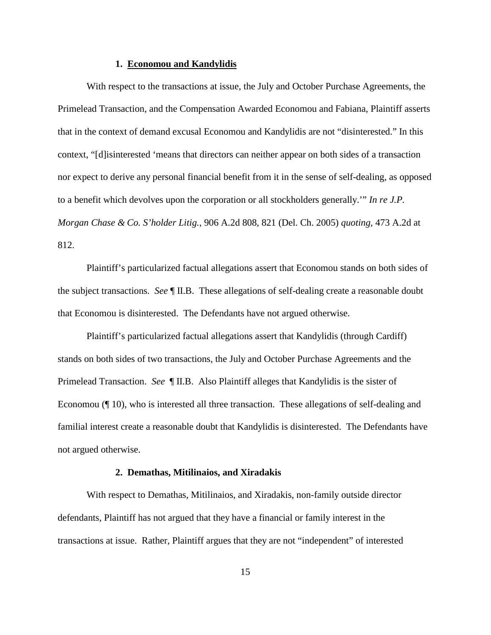#### **1. Economou and Kandylidis**

With respect to the transactions at issue, the July and October Purchase Agreements, the Primelead Transaction, and the Compensation Awarded Economou and Fabiana, Plaintiff asserts that in the context of demand excusal Economou and Kandylidis are not "disinterested." In this context, "[d]isinterested 'means that directors can neither appear on both sides of a transaction nor expect to derive any personal financial benefit from it in the sense of self-dealing, as opposed to a benefit which devolves upon the corporation or all stockholders generally.'" *In re J.P. Morgan Chase & Co. S'holder Litig.*, 906 A.2d 808, 821 (Del. Ch. 2005) *quoting*, 473 A.2d at 812.

Plaintiff's particularized factual allegations assert that Economou stands on both sides of the subject transactions. *See* ¶ II.B. These allegations of self-dealing create a reasonable doubt that Economou is disinterested. The Defendants have not argued otherwise.

Plaintiff's particularized factual allegations assert that Kandylidis (through Cardiff) stands on both sides of two transactions, the July and October Purchase Agreements and the Primelead Transaction. *See* ¶ II.B. Also Plaintiff alleges that Kandylidis is the sister of Economou (¶ 10), who is interested all three transaction. These allegations of self-dealing and familial interest create a reasonable doubt that Kandylidis is disinterested. The Defendants have not argued otherwise.

#### **2. Demathas, Mitilinaios, and Xiradakis**

With respect to Demathas, Mitilinaios, and Xiradakis, non-family outside director defendants, Plaintiff has not argued that they have a financial or family interest in the transactions at issue. Rather, Plaintiff argues that they are not "independent" of interested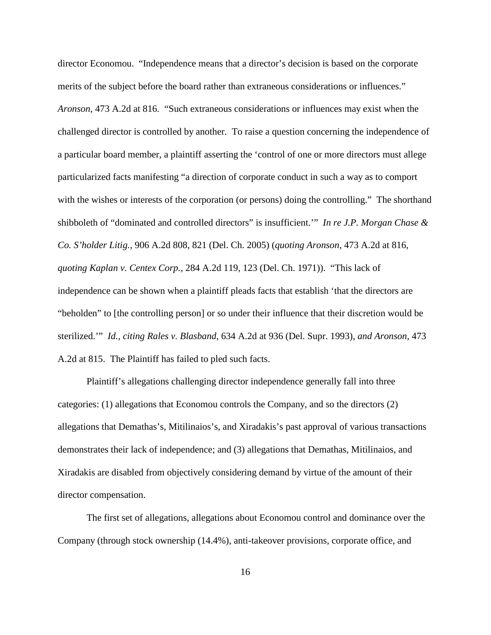director Economou. "Independence means that a director's decision is based on the corporate merits of the subject before the board rather than extraneous considerations or influences." *Aronson*, 473 A.2d at 816. "Such extraneous considerations or influences may exist when the challenged director is controlled by another. To raise a question concerning the independence of a particular board member, a plaintiff asserting the 'control of one or more directors must allege particularized facts manifesting "a direction of corporate conduct in such a way as to comport with the wishes or interests of the corporation (or persons) doing the controlling." The shorthand shibboleth of "dominated and controlled directors" is insufficient.'" *In re J.P. Morgan Chase & Co. S'holder Litig.*, 906 A.2d 808, 821 (Del. Ch. 2005) (*quoting Aronson*, 473 A.2d at 816, *quoting Kaplan v. Centex Corp.*, 284 A.2d 119, 123 (Del. Ch. 1971)). "This lack of independence can be shown when a plaintiff pleads facts that establish 'that the directors are "beholden" to [the controlling person] or so under their influence that their discretion would be sterilized.'" *Id., citing Rales v. Blasband*, 634 A.2d at 936 (Del. Supr. 1993), *and Aronson*, 473 A.2d at 815. The Plaintiff has failed to pled such facts.

Plaintiff's allegations challenging director independence generally fall into three categories: (1) allegations that Economou controls the Company, and so the directors (2) allegations that Demathas's, Mitilinaios's, and Xiradakis's past approval of various transactions demonstrates their lack of independence; and (3) allegations that Demathas, Mitilinaios, and Xiradakis are disabled from objectively considering demand by virtue of the amount of their director compensation.

The first set of allegations, allegations about Economou control and dominance over the Company (through stock ownership (14.4%), anti-takeover provisions, corporate office, and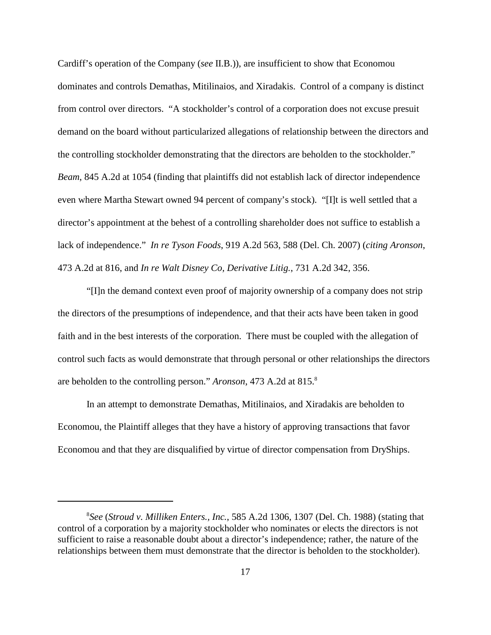Cardiff's operation of the Company (*see* II.B.)), are insufficient to show that Economou dominates and controls Demathas, Mitilinaios, and Xiradakis. Control of a company is distinct from control over directors. "A stockholder's control of a corporation does not excuse presuit demand on the board without particularized allegations of relationship between the directors and the controlling stockholder demonstrating that the directors are beholden to the stockholder." *Beam*, 845 A.2d at 1054 (finding that plaintiffs did not establish lack of director independence even where Martha Stewart owned 94 percent of company's stock). "[I]t is well settled that a director's appointment at the behest of a controlling shareholder does not suffice to establish a lack of independence." *In re Tyson Foods*, 919 A.2d 563, 588 (Del. Ch. 2007) (*citing Aronson*, 473 A.2d at 816, and *In re Walt Disney Co, Derivative Litig.*, 731 A.2d 342, 356.

"[I]n the demand context even proof of majority ownership of a company does not strip the directors of the presumptions of independence, and that their acts have been taken in good faith and in the best interests of the corporation. There must be coupled with the allegation of control such facts as would demonstrate that through personal or other relationships the directors are beholden to the controlling person." *Aronson*, 473 A.2d at 815.<sup>8</sup>

In an attempt to demonstrate Demathas, Mitilinaios, and Xiradakis are beholden to Economou, the Plaintiff alleges that they have a history of approving transactions that favor Economou and that they are disqualified by virtue of director compensation from DryShips.

*See* (*Stroud v. Milliken Enters., Inc.*, 585 A.2d 1306, 1307 (Del. Ch. 1988) (stating that 8 control of a corporation by a majority stockholder who nominates or elects the directors is not sufficient to raise a reasonable doubt about a director's independence; rather, the nature of the relationships between them must demonstrate that the director is beholden to the stockholder).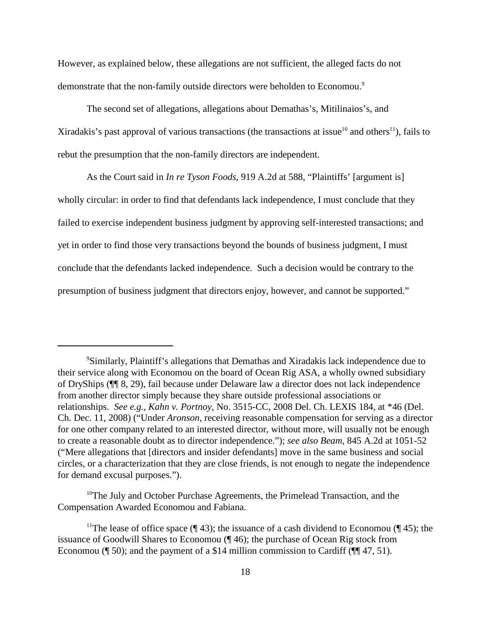However, as explained below, these allegations are not sufficient, the alleged facts do not demonstrate that the non-family outside directors were beholden to Economou.<sup>9</sup>

The second set of allegations, allegations about Demathas's, Mitilinaios's, and Xiradakis's past approval of various transactions (the transactions at issue<sup>10</sup> and others<sup>11</sup>), fails to rebut the presumption that the non-family directors are independent.

As the Court said in *In re Tyson Foods*, 919 A.2d at 588, "Plaintiffs' [argument is] wholly circular: in order to find that defendants lack independence, I must conclude that they failed to exercise independent business judgment by approving self-interested transactions; and yet in order to find those very transactions beyond the bounds of business judgment, I must conclude that the defendants lacked independence. Such a decision would be contrary to the presumption of business judgment that directors enjoy, however, and cannot be supported."

<sup>&</sup>lt;sup>9</sup>Similarly, Plaintiff's allegations that Demathas and Xiradakis lack independence due to their service along with Economou on the board of Ocean Rig ASA, a wholly owned subsidiary of DryShips (¶¶ 8, 29), fail because under Delaware law a director does not lack independence from another director simply because they share outside professional associations or relationships. *See e.g., Kahn v. Portnoy*, No. 3515-CC, 2008 Del. Ch. LEXIS 184, at \*46 (Del. Ch. Dec. 11, 2008) ("Under *Aronson,* receiving reasonable compensation for serving as a director for one other company related to an interested director, without more, will usually not be enough to create a reasonable doubt as to director independence."); *see also Beam*, 845 A.2d at 1051-52 ("Mere allegations that [directors and insider defendants] move in the same business and social circles, or a characterization that they are close friends, is not enough to negate the independence for demand excusal purposes.").

 $10$ <sup>10</sup>The July and October Purchase Agreements, the Primelead Transaction, and the Compensation Awarded Economou and Fabiana.

<sup>&</sup>lt;sup>11</sup>The lease of office space ( $\llbracket$  43); the issuance of a cash dividend to Economou ( $\llbracket$  45); the issuance of Goodwill Shares to Economou (¶ 46); the purchase of Ocean Rig stock from Economou (¶ 50); and the payment of a \$14 million commission to Cardiff ( $\P$ [ 47, 51).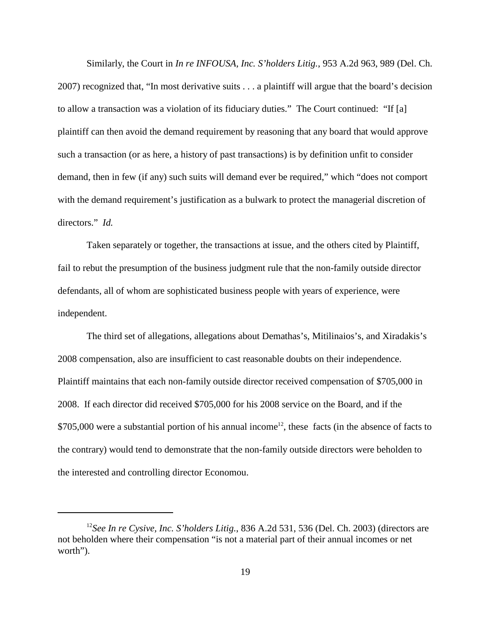Similarly, the Court in *In re INFOUSA, Inc. S'holders Litig.*, 953 A.2d 963, 989 (Del. Ch. 2007) recognized that, "In most derivative suits . . . a plaintiff will argue that the board's decision to allow a transaction was a violation of its fiduciary duties." The Court continued: "If [a] plaintiff can then avoid the demand requirement by reasoning that any board that would approve such a transaction (or as here, a history of past transactions) is by definition unfit to consider demand, then in few (if any) such suits will demand ever be required," which "does not comport with the demand requirement's justification as a bulwark to protect the managerial discretion of directors." *Id.*

Taken separately or together, the transactions at issue, and the others cited by Plaintiff, fail to rebut the presumption of the business judgment rule that the non-family outside director defendants, all of whom are sophisticated business people with years of experience, were independent.

The third set of allegations, allegations about Demathas's, Mitilinaios's, and Xiradakis's 2008 compensation, also are insufficient to cast reasonable doubts on their independence. Plaintiff maintains that each non-family outside director received compensation of \$705,000 in 2008. If each director did received \$705,000 for his 2008 service on the Board, and if the  $$705,000$  were a substantial portion of his annual income<sup>12</sup>, these facts (in the absence of facts to the contrary) would tend to demonstrate that the non-family outside directors were beholden to the interested and controlling director Economou.

<sup>&</sup>lt;sup>12</sup>See In re Cysive, Inc. S'holders Litig., 836 A.2d 531, 536 (Del. Ch. 2003) (directors are not beholden where their compensation "is not a material part of their annual incomes or net worth").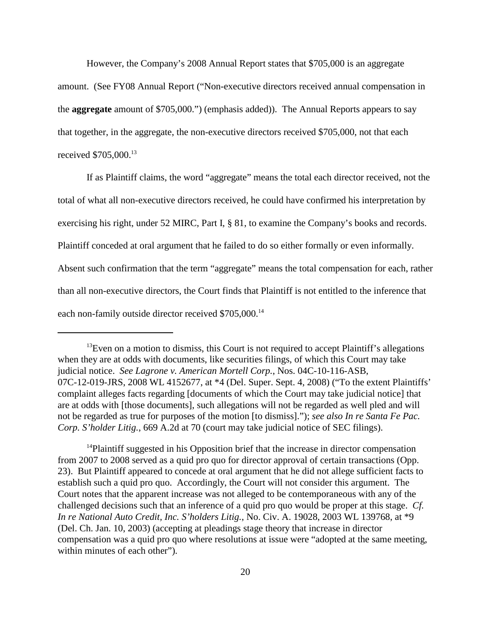However, the Company's 2008 Annual Report states that \$705,000 is an aggregate amount. (See FY08 Annual Report ("Non-executive directors received annual compensation in the **aggregate** amount of \$705,000.") (emphasis added)). The Annual Reports appears to say that together, in the aggregate, the non-executive directors received \$705,000, not that each received \$705,000.<sup>13</sup>

If as Plaintiff claims, the word "aggregate" means the total each director received, not the total of what all non-executive directors received, he could have confirmed his interpretation by exercising his right, under 52 MIRC, Part I, § 81, to examine the Company's books and records. Plaintiff conceded at oral argument that he failed to do so either formally or even informally. Absent such confirmation that the term "aggregate" means the total compensation for each, rather than all non-executive directors, the Court finds that Plaintiff is not entitled to the inference that each non-family outside director received \$705,000.<sup>14</sup>

<sup>14</sup>Plaintiff suggested in his Opposition brief that the increase in director compensation from 2007 to 2008 served as a quid pro quo for director approval of certain transactions (Opp. 23). But Plaintiff appeared to concede at oral argument that he did not allege sufficient facts to establish such a quid pro quo. Accordingly, the Court will not consider this argument. The Court notes that the apparent increase was not alleged to be contemporaneous with any of the challenged decisions such that an inference of a quid pro quo would be proper at this stage. *Cf. In re National Auto Credit, Inc. S'holders Litig.*, No. Civ. A. 19028, 2003 WL 139768, at \*9 (Del. Ch. Jan. 10, 2003) (accepting at pleadings stage theory that increase in director compensation was a quid pro quo where resolutions at issue were "adopted at the same meeting, within minutes of each other").

 $13$  Even on a motion to dismiss, this Court is not required to accept Plaintiff's allegations when they are at odds with documents, like securities filings, of which this Court may take judicial notice. *See Lagrone v. American Mortell Corp.*, Nos. 04C-10-116-ASB, 07C-12-019-JRS, 2008 WL 4152677, at \*4 (Del. Super. Sept. 4, 2008) ("To the extent Plaintiffs' complaint alleges facts regarding [documents of which the Court may take judicial notice] that are at odds with [those documents], such allegations will not be regarded as well pled and will not be regarded as true for purposes of the motion [to dismiss]."); *see also In re Santa Fe Pac. Corp. S'holder Litig.*, 669 A.2d at 70 (court may take judicial notice of SEC filings).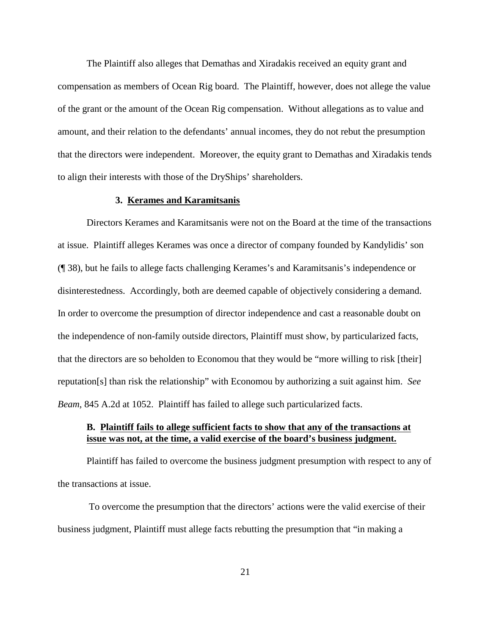The Plaintiff also alleges that Demathas and Xiradakis received an equity grant and compensation as members of Ocean Rig board. The Plaintiff, however, does not allege the value of the grant or the amount of the Ocean Rig compensation. Without allegations as to value and amount, and their relation to the defendants' annual incomes, they do not rebut the presumption that the directors were independent. Moreover, the equity grant to Demathas and Xiradakis tends to align their interests with those of the DryShips' shareholders.

## **3. Kerames and Karamitsanis**

Directors Kerames and Karamitsanis were not on the Board at the time of the transactions at issue. Plaintiff alleges Kerames was once a director of company founded by Kandylidis' son (¶ 38), but he fails to allege facts challenging Kerames's and Karamitsanis's independence or disinterestedness. Accordingly, both are deemed capable of objectively considering a demand. In order to overcome the presumption of director independence and cast a reasonable doubt on the independence of non-family outside directors, Plaintiff must show, by particularized facts, that the directors are so beholden to Economou that they would be "more willing to risk [their] reputation[s] than risk the relationship" with Economou by authorizing a suit against him. *See Beam*, 845 A.2d at 1052. Plaintiff has failed to allege such particularized facts.

## **B. Plaintiff fails to allege sufficient facts to show that any of the transactions at issue was not, at the time, a valid exercise of the board's business judgment.**

Plaintiff has failed to overcome the business judgment presumption with respect to any of the transactions at issue.

 To overcome the presumption that the directors' actions were the valid exercise of their business judgment, Plaintiff must allege facts rebutting the presumption that "in making a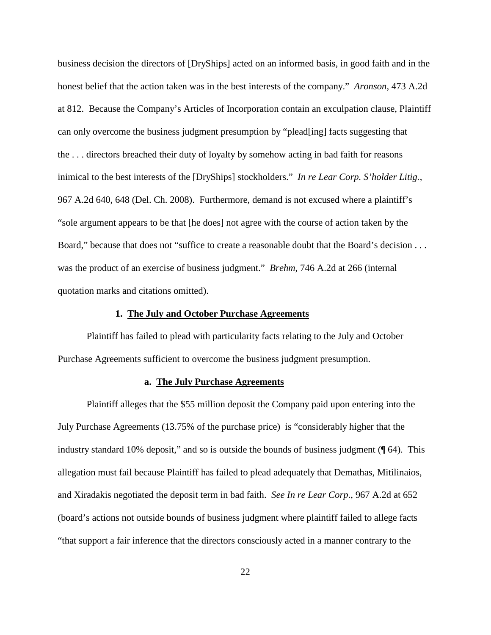business decision the directors of [DryShips] acted on an informed basis, in good faith and in the honest belief that the action taken was in the best interests of the company." *Aronson*, 473 A.2d at 812. Because the Company's Articles of Incorporation contain an exculpation clause, Plaintiff can only overcome the business judgment presumption by "plead[ing] facts suggesting that the . . . directors breached their duty of loyalty by somehow acting in bad faith for reasons inimical to the best interests of the [DryShips] stockholders." *In re Lear Corp. S'holder Litig.*, 967 A.2d 640, 648 (Del. Ch. 2008). Furthermore, demand is not excused where a plaintiff's "sole argument appears to be that [he does] not agree with the course of action taken by the Board," because that does not "suffice to create a reasonable doubt that the Board's decision . . . was the product of an exercise of business judgment." *Brehm*, 746 A.2d at 266 (internal quotation marks and citations omitted).

### **1. The July and October Purchase Agreements**

Plaintiff has failed to plead with particularity facts relating to the July and October Purchase Agreements sufficient to overcome the business judgment presumption.

## **a. The July Purchase Agreements**

Plaintiff alleges that the \$55 million deposit the Company paid upon entering into the July Purchase Agreements (13.75% of the purchase price) is "considerably higher that the industry standard 10% deposit," and so is outside the bounds of business judgment (¶ 64). This allegation must fail because Plaintiff has failed to plead adequately that Demathas, Mitilinaios, and Xiradakis negotiated the deposit term in bad faith. *See In re Lear Corp*., 967 A.2d at 652 (board's actions not outside bounds of business judgment where plaintiff failed to allege facts "that support a fair inference that the directors consciously acted in a manner contrary to the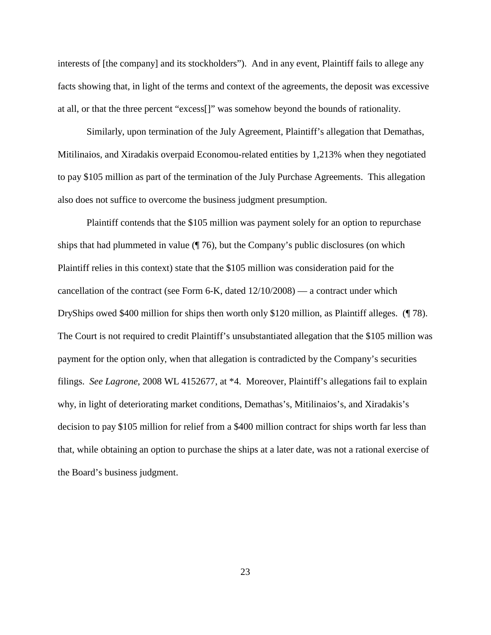interests of [the company] and its stockholders"). And in any event, Plaintiff fails to allege any facts showing that, in light of the terms and context of the agreements, the deposit was excessive at all, or that the three percent "excess[]" was somehow beyond the bounds of rationality.

Similarly, upon termination of the July Agreement, Plaintiff's allegation that Demathas, Mitilinaios, and Xiradakis overpaid Economou-related entities by 1,213% when they negotiated to pay \$105 million as part of the termination of the July Purchase Agreements. This allegation also does not suffice to overcome the business judgment presumption.

Plaintiff contends that the \$105 million was payment solely for an option to repurchase ships that had plummeted in value  $(\sqrt{\frac{76}{6}})$ , but the Company's public disclosures (on which Plaintiff relies in this context) state that the \$105 million was consideration paid for the cancellation of the contract (see Form 6-K, dated 12/10/2008) — a contract under which DryShips owed \$400 million for ships then worth only \$120 million, as Plaintiff alleges. (¶ 78). The Court is not required to credit Plaintiff's unsubstantiated allegation that the \$105 million was payment for the option only, when that allegation is contradicted by the Company's securities filings. *See Lagrone*, 2008 WL 4152677, at \*4. Moreover, Plaintiff's allegations fail to explain why, in light of deteriorating market conditions, Demathas's, Mitilinaios's, and Xiradakis's decision to pay \$105 million for relief from a \$400 million contract for ships worth far less than that, while obtaining an option to purchase the ships at a later date, was not a rational exercise of the Board's business judgment.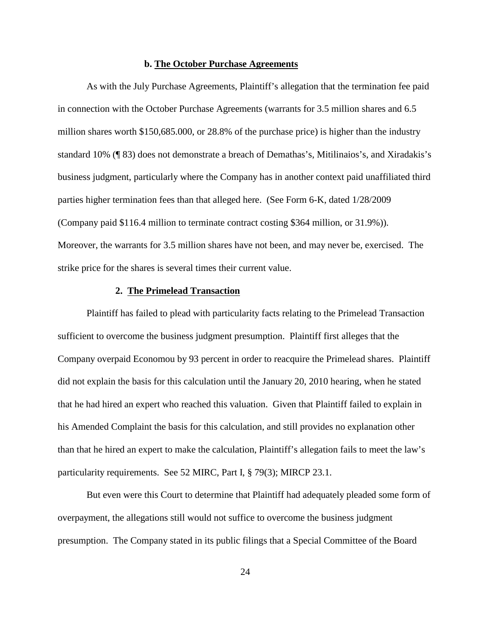#### **b. The October Purchase Agreements**

As with the July Purchase Agreements, Plaintiff's allegation that the termination fee paid in connection with the October Purchase Agreements (warrants for 3.5 million shares and 6.5 million shares worth \$150,685.000, or 28.8% of the purchase price) is higher than the industry standard 10% (¶ 83) does not demonstrate a breach of Demathas's, Mitilinaios's, and Xiradakis's business judgment, particularly where the Company has in another context paid unaffiliated third parties higher termination fees than that alleged here. (See Form 6-K, dated 1/28/2009 (Company paid \$116.4 million to terminate contract costing \$364 million, or 31.9%)). Moreover, the warrants for 3.5 million shares have not been, and may never be, exercised. The strike price for the shares is several times their current value.

## **2. The Primelead Transaction**

Plaintiff has failed to plead with particularity facts relating to the Primelead Transaction sufficient to overcome the business judgment presumption. Plaintiff first alleges that the Company overpaid Economou by 93 percent in order to reacquire the Primelead shares. Plaintiff did not explain the basis for this calculation until the January 20, 2010 hearing, when he stated that he had hired an expert who reached this valuation. Given that Plaintiff failed to explain in his Amended Complaint the basis for this calculation, and still provides no explanation other than that he hired an expert to make the calculation, Plaintiff's allegation fails to meet the law's particularity requirements. See 52 MIRC, Part I, § 79(3); MIRCP 23.1.

But even were this Court to determine that Plaintiff had adequately pleaded some form of overpayment, the allegations still would not suffice to overcome the business judgment presumption. The Company stated in its public filings that a Special Committee of the Board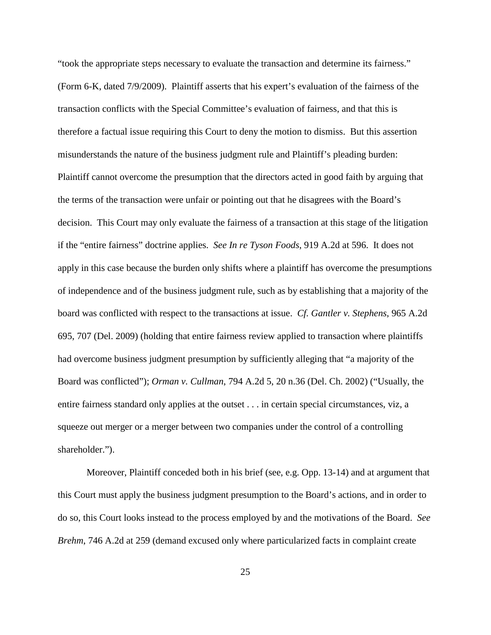"took the appropriate steps necessary to evaluate the transaction and determine its fairness." (Form 6-K, dated 7/9/2009). Plaintiff asserts that his expert's evaluation of the fairness of the transaction conflicts with the Special Committee's evaluation of fairness, and that this is therefore a factual issue requiring this Court to deny the motion to dismiss. But this assertion misunderstands the nature of the business judgment rule and Plaintiff's pleading burden: Plaintiff cannot overcome the presumption that the directors acted in good faith by arguing that the terms of the transaction were unfair or pointing out that he disagrees with the Board's decision. This Court may only evaluate the fairness of a transaction at this stage of the litigation if the "entire fairness" doctrine applies. *See In re Tyson Foods*, 919 A.2d at 596. It does not apply in this case because the burden only shifts where a plaintiff has overcome the presumptions of independence and of the business judgment rule, such as by establishing that a majority of the board was conflicted with respect to the transactions at issue. *Cf. Gantler v. Stephens*, 965 A.2d 695, 707 (Del. 2009) (holding that entire fairness review applied to transaction where plaintiffs had overcome business judgment presumption by sufficiently alleging that "a majority of the Board was conflicted"); *Orman v. Cullman*, 794 A.2d 5, 20 n.36 (Del. Ch. 2002) ("Usually, the entire fairness standard only applies at the outset . . . in certain special circumstances, viz, a squeeze out merger or a merger between two companies under the control of a controlling shareholder.").

Moreover, Plaintiff conceded both in his brief (see, e.g. Opp. 13-14) and at argument that this Court must apply the business judgment presumption to the Board's actions, and in order to do so, this Court looks instead to the process employed by and the motivations of the Board. *See Brehm*, 746 A.2d at 259 (demand excused only where particularized facts in complaint create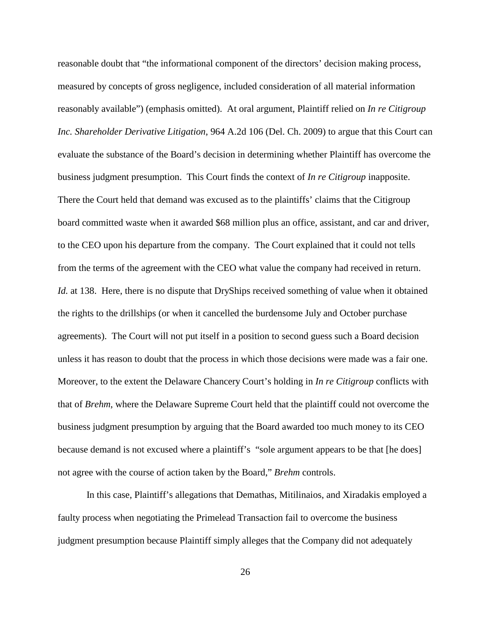reasonable doubt that "the informational component of the directors' decision making process, measured by concepts of gross negligence, included consideration of all material information reasonably available") (emphasis omitted). At oral argument, Plaintiff relied on *In re Citigroup Inc. Shareholder Derivative Litigation*, 964 A.2d 106 (Del. Ch. 2009) to argue that this Court can evaluate the substance of the Board's decision in determining whether Plaintiff has overcome the business judgment presumption. This Court finds the context of *In re Citigroup* inapposite. There the Court held that demand was excused as to the plaintiffs' claims that the Citigroup board committed waste when it awarded \$68 million plus an office, assistant, and car and driver, to the CEO upon his departure from the company. The Court explained that it could not tells from the terms of the agreement with the CEO what value the company had received in return. *Id.* at 138. Here, there is no dispute that DryShips received something of value when it obtained the rights to the drillships (or when it cancelled the burdensome July and October purchase agreements). The Court will not put itself in a position to second guess such a Board decision unless it has reason to doubt that the process in which those decisions were made was a fair one. Moreover, to the extent the Delaware Chancery Court's holding in *In re Citigroup* conflicts with that of *Brehm*, where the Delaware Supreme Court held that the plaintiff could not overcome the business judgment presumption by arguing that the Board awarded too much money to its CEO because demand is not excused where a plaintiff's "sole argument appears to be that [he does] not agree with the course of action taken by the Board," *Brehm* controls.

In this case, Plaintiff's allegations that Demathas, Mitilinaios, and Xiradakis employed a faulty process when negotiating the Primelead Transaction fail to overcome the business judgment presumption because Plaintiff simply alleges that the Company did not adequately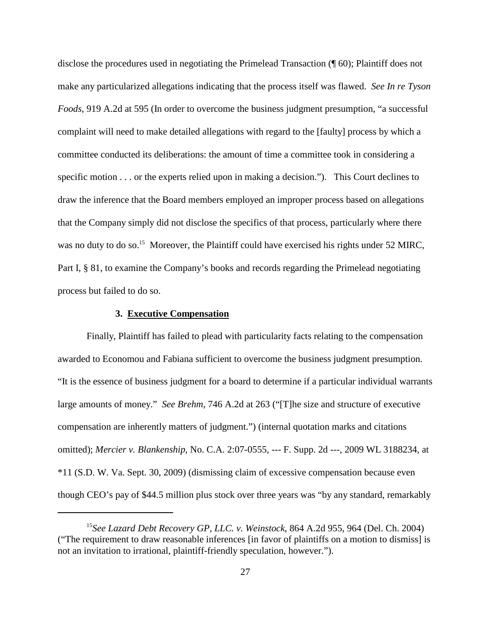disclose the procedures used in negotiating the Primelead Transaction (¶ 60); Plaintiff does not make any particularized allegations indicating that the process itself was flawed. *See In re Tyson Foods*, 919 A.2d at 595 (In order to overcome the business judgment presumption, "a successful complaint will need to make detailed allegations with regard to the [faulty] process by which a committee conducted its deliberations: the amount of time a committee took in considering a specific motion . . . or the experts relied upon in making a decision."). This Court declines to draw the inference that the Board members employed an improper process based on allegations that the Company simply did not disclose the specifics of that process, particularly where there was no duty to do so.<sup>15</sup> Moreover, the Plaintiff could have exercised his rights under 52 MIRC, Part I, § 81, to examine the Company's books and records regarding the Primelead negotiating process but failed to do so.

### **3. Executive Compensation**

Finally, Plaintiff has failed to plead with particularity facts relating to the compensation awarded to Economou and Fabiana sufficient to overcome the business judgment presumption. "It is the essence of business judgment for a board to determine if a particular individual warrants large amounts of money." *See Brehm*, 746 A.2d at 263 ("[T]he size and structure of executive compensation are inherently matters of judgment.") (internal quotation marks and citations omitted); *Mercier v. Blankenship*, No. C.A. 2:07-0555, --- F. Supp. 2d ---, 2009 WL 3188234, at \*11 (S.D. W. Va. Sept. 30, 2009) (dismissing claim of excessive compensation because even though CEO's pay of \$44.5 million plus stock over three years was "by any standard, remarkably

<sup>&</sup>lt;sup>15</sup> See Lazard Debt Recovery GP, LLC. v. Weinstock, 864 A.2d 955, 964 (Del. Ch. 2004) ("The requirement to draw reasonable inferences [in favor of plaintiffs on a motion to dismiss] is not an invitation to irrational, plaintiff-friendly speculation, however.").